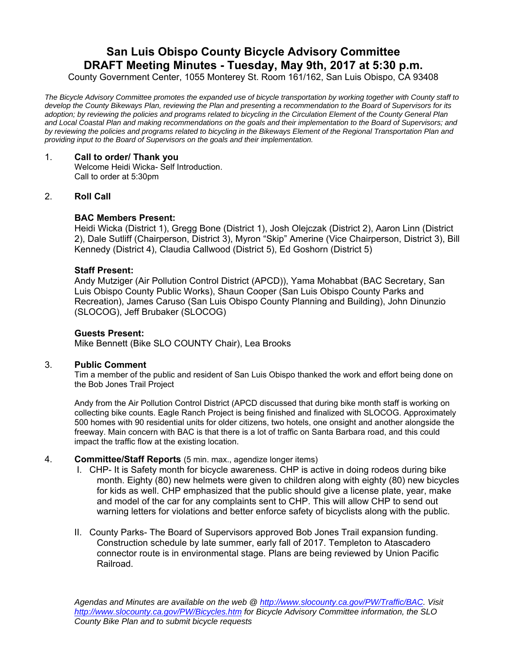# **San Luis Obispo County Bicycle Advisory Committee DRAFT Meeting Minutes - Tuesday, May 9th, 2017 at 5:30 p.m.**

County Government Center, 1055 Monterey St. Room 161/162, San Luis Obispo, CA 93408

*The Bicycle Advisory Committee promotes the expanded use of bicycle transportation by working together with County staff to develop the County Bikeways Plan, reviewing the Plan and presenting a recommendation to the Board of Supervisors for its adoption; by reviewing the policies and programs related to bicycling in the Circulation Element of the County General Plan and Local Coastal Plan and making recommendations on the goals and their implementation to the Board of Supervisors; and by reviewing the policies and programs related to bicycling in the Bikeways Element of the Regional Transportation Plan and providing input to the Board of Supervisors on the goals and their implementation.* 

### 1. **Call to order/ Thank you**

Welcome Heidi Wicka- Self Introduction. Call to order at 5:30pm

## 2. **Roll Call**

## **BAC Members Present:**

Heidi Wicka (District 1), Gregg Bone (District 1), Josh Olejczak (District 2), Aaron Linn (District 2), Dale Sutliff (Chairperson, District 3), Myron "Skip" Amerine (Vice Chairperson, District 3), Bill Kennedy (District 4), Claudia Callwood (District 5), Ed Goshorn (District 5)

#### **Staff Present:**

Andy Mutziger (Air Pollution Control District (APCD)), Yama Mohabbat (BAC Secretary, San Luis Obispo County Public Works), Shaun Cooper (San Luis Obispo County Parks and Recreation), James Caruso (San Luis Obispo County Planning and Building), John Dinunzio (SLOCOG), Jeff Brubaker (SLOCOG)

#### **Guests Present:**

Mike Bennett (Bike SLO COUNTY Chair), Lea Brooks

#### 3. **Public Comment**

Tim a member of the public and resident of San Luis Obispo thanked the work and effort being done on the Bob Jones Trail Project

Andy from the Air Pollution Control District (APCD discussed that during bike month staff is working on collecting bike counts. Eagle Ranch Project is being finished and finalized with SLOCOG. Approximately 500 homes with 90 residential units for older citizens, two hotels, one onsight and another alongside the freeway. Main concern with BAC is that there is a lot of traffic on Santa Barbara road, and this could impact the traffic flow at the existing location.

- 4. **Committee/Staff Reports** (5 min. max., agendize longer items)
	- I. CHP- It is Safety month for bicycle awareness. CHP is active in doing rodeos during bike month. Eighty (80) new helmets were given to children along with eighty (80) new bicycles for kids as well. CHP emphasized that the public should give a license plate, year, make and model of the car for any complaints sent to CHP. This will allow CHP to send out warning letters for violations and better enforce safety of bicyclists along with the public.
	- II. County Parks- The Board of Supervisors approved Bob Jones Trail expansion funding. Construction schedule by late summer, early fall of 2017. Templeton to Atascadero connector route is in environmental stage. Plans are being reviewed by Union Pacific Railroad.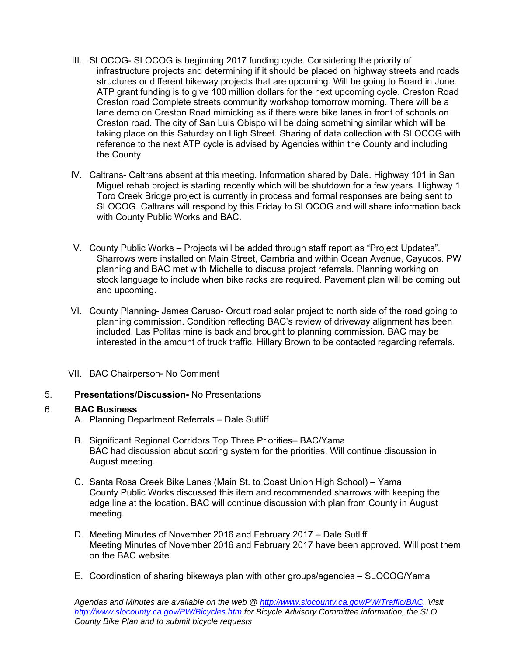- III. SLOCOG- SLOCOG is beginning 2017 funding cycle. Considering the priority of infrastructure projects and determining if it should be placed on highway streets and roads structures or different bikeway projects that are upcoming. Will be going to Board in June. ATP grant funding is to give 100 million dollars for the next upcoming cycle. Creston Road Creston road Complete streets community workshop tomorrow morning. There will be a lane demo on Creston Road mimicking as if there were bike lanes in front of schools on Creston road. The city of San Luis Obispo will be doing something similar which will be taking place on this Saturday on High Street. Sharing of data collection with SLOCOG with reference to the next ATP cycle is advised by Agencies within the County and including the County.
- IV. Caltrans- Caltrans absent at this meeting. Information shared by Dale. Highway 101 in San Miguel rehab project is starting recently which will be shutdown for a few years. Highway 1 Toro Creek Bridge project is currently in process and formal responses are being sent to SLOCOG. Caltrans will respond by this Friday to SLOCOG and will share information back with County Public Works and BAC.
- V. County Public Works Projects will be added through staff report as "Project Updates". Sharrows were installed on Main Street, Cambria and within Ocean Avenue, Cayucos. PW planning and BAC met with Michelle to discuss project referrals. Planning working on stock language to include when bike racks are required. Pavement plan will be coming out and upcoming.
- VI. County Planning- James Caruso- Orcutt road solar project to north side of the road going to planning commission. Condition reflecting BAC's review of driveway alignment has been included. Las Politas mine is back and brought to planning commission. BAC may be interested in the amount of truck traffic. Hillary Brown to be contacted regarding referrals.
- VII. BAC Chairperson- No Comment

# 5. **Presentations/Discussion-** No Presentations

# 6. **BAC Business**

- A. Planning Department Referrals Dale Sutliff
- B. Significant Regional Corridors Top Three Priorities– BAC/Yama BAC had discussion about scoring system for the priorities. Will continue discussion in August meeting.
- C. Santa Rosa Creek Bike Lanes (Main St. to Coast Union High School) Yama County Public Works discussed this item and recommended sharrows with keeping the edge line at the location. BAC will continue discussion with plan from County in August meeting.
- D. Meeting Minutes of November 2016 and February 2017 Dale Sutliff Meeting Minutes of November 2016 and February 2017 have been approved. Will post them on the BAC website.
- E. Coordination of sharing bikeways plan with other groups/agencies SLOCOG/Yama